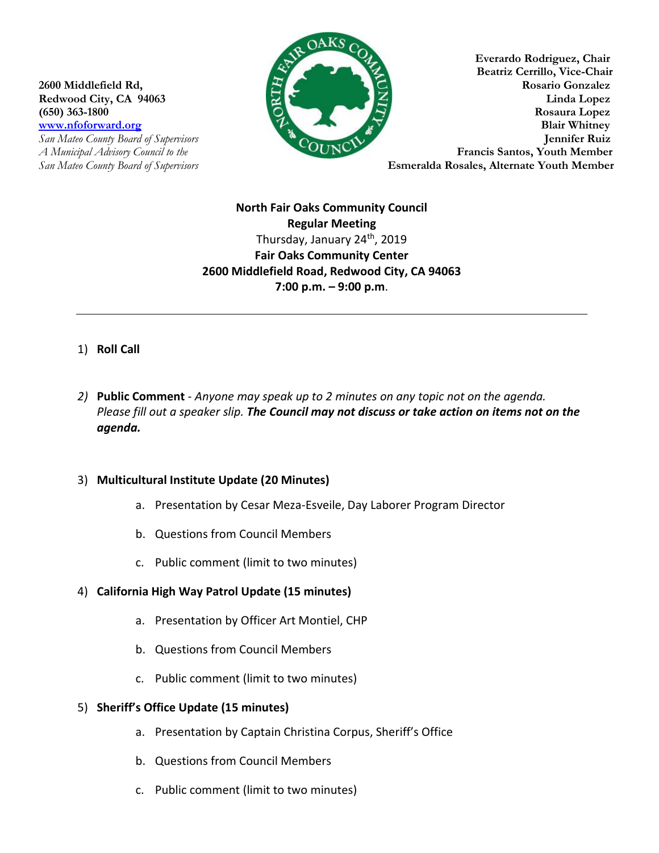

**Everardo Rodriguez, Chair Beatriz Cerrillo, Vice-Chair 2600 Middlefield Rd, Rosario Gonzalez Redwood City, CA 94063 Linda Lopez (650) 363-1800 Rosaura Lopez** *www.nfoforward.org* **<b>Blair Whitney Blair Whitney** *San Mateo County Board of Supervisors* **Jennifer Ruiz**  *A Municipal Advisory Council to the* **Example 2018** *San Mateo County Board of Supervisors* **Esmeralda Rosales, Alternate Youth Member** 

> **North Fair Oaks Community Council Regular Meeting** Thursday, January 24<sup>th</sup>, 2019 **Fair Oaks Community Center 2600 Middlefield Road, Redwood City, CA 94063 7:00 p.m. – 9:00 p.m**.

# 1) **Roll Call**

*2)* **Public Comment** - *Anyone may speak up to 2 minutes on any topic not on the agenda. Please fill out a speaker slip. The Council may not discuss or take action on items not on the agenda.*

## 3) **Multicultural Institute Update (20 Minutes)**

- a. Presentation by Cesar Meza-Esveile, Day Laborer Program Director
- b. Questions from Council Members
- c. Public comment (limit to two minutes)

## 4) **California High Way Patrol Update (15 minutes)**

- a. Presentation by Officer Art Montiel, CHP
- b. Questions from Council Members
- c. Public comment (limit to two minutes)

#### 5) **Sheriff's Office Update (15 minutes)**

- a. Presentation by Captain Christina Corpus, Sheriff's Office
- b. Questions from Council Members
- c. Public comment (limit to two minutes)